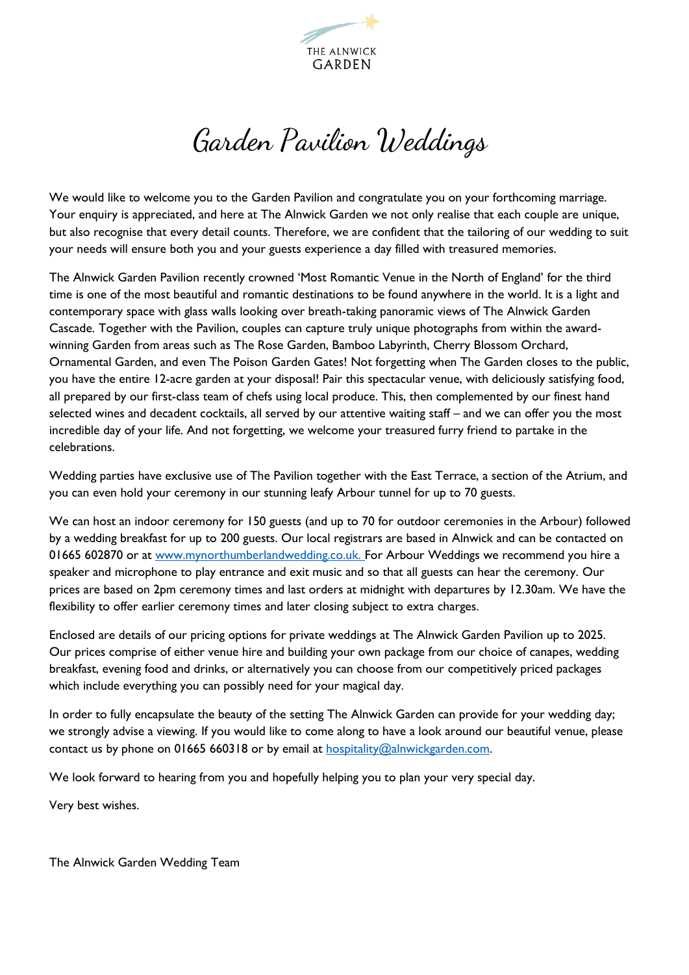

# Garden Pavilion Weddings

We would like to welcome you to the Garden Pavilion and congratulate you on your forthcoming marriage. Your enquiry is appreciated, and here at The Alnwick Garden we not only realise that each couple are unique, but also recognise that every detail counts. Therefore, we are confident that the tailoring of our wedding to suit your needs will ensure both you and your guests experience a day filled with treasured memories.

The Alnwick Garden Pavilion recently crowned 'Most Romantic Venue in the North of England' for the third time is one of the most beautiful and romantic destinations to be found anywhere in the world. It is a light and contemporary space with glass walls looking over breath-taking panoramic views of The Alnwick Garden Cascade. Together with the Pavilion, couples can capture truly unique photographs from within the awardwinning Garden from areas such as The Rose Garden, Bamboo Labyrinth, Cherry Blossom Orchard, Ornamental Garden, and even The Poison Garden Gates! Not forgetting when The Garden closes to the public, you have the entire 12-acre garden at your disposal! Pair this spectacular venue, with deliciously satisfying food, all prepared by our first-class team of chefs using local produce. This, then complemented by our finest hand selected wines and decadent cocktails, all served by our attentive waiting staff – and we can offer you the most incredible day of your life. And not forgetting, we welcome your treasured furry friend to partake in the celebrations.

Wedding parties have exclusive use of The Pavilion together with the East Terrace, a section of the Atrium, and you can even hold your ceremony in our stunning leafy Arbour tunnel for up to 70 guests.

We can host an indoor ceremony for 150 guests (and up to 70 for outdoor ceremonies in the Arbour) followed by a wedding breakfast for up to 200 guests. Our local registrars are based in Alnwick and can be contacted on 01665 602870 or at [www.mynorthumberlandwedding.co.uk.](http://www.mynorthumberlandwedding.co.uk/) For Arbour Weddings we recommend you hire a speaker and microphone to play entrance and exit music and so that all guests can hear the ceremony. Our prices are based on 2pm ceremony times and last orders at midnight with departures by 12.30am. We have the flexibility to offer earlier ceremony times and later closing subject to extra charges.

Enclosed are details of our pricing options for private weddings at The Alnwick Garden Pavilion up to 2025. Our prices comprise of either venue hire and building your own package from our choice of canapes, wedding breakfast, evening food and drinks, or alternatively you can choose from our competitively priced packages which include everything you can possibly need for your magical day.

In order to fully encapsulate the beauty of the setting The Alnwick Garden can provide for your wedding day; we strongly advise a viewing. If you would like to come along to have a look around our beautiful venue, please contact us by phone on 01665 660318 or by email at  $hospitality@alnwickgarden.com$ .

We look forward to hearing from you and hopefully helping you to plan your very special day.

Very best wishes.

The Alnwick Garden Wedding Team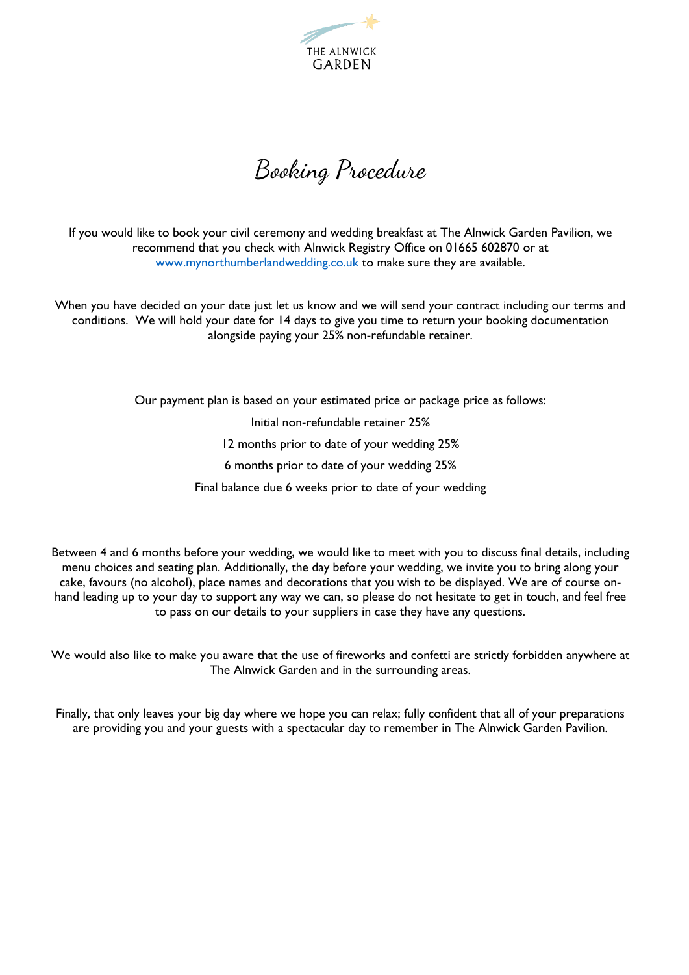

Booking Procedure

If you would like to book your civil ceremony and wedding breakfast at The Alnwick Garden Pavilion, we recommend that you check with Alnwick Registry Office on 01665 602870 or at [www.mynorthumberlandwedding.co.uk](http://www.mynorthumberlandwedding.co.uk/) to make sure they are available.

When you have decided on your date just let us know and we will send your contract including our terms and conditions. We will hold your date for 14 days to give you time to return your booking documentation alongside paying your 25% non-refundable retainer.

> Our payment plan is based on your estimated price or package price as follows: Initial non-refundable retainer 25% 12 months prior to date of your wedding 25% 6 months prior to date of your wedding 25% Final balance due 6 weeks prior to date of your wedding

Between 4 and 6 months before your wedding, we would like to meet with you to discuss final details, including menu choices and seating plan. Additionally, the day before your wedding, we invite you to bring along your cake, favours (no alcohol), place names and decorations that you wish to be displayed. We are of course onhand leading up to your day to support any way we can, so please do not hesitate to get in touch, and feel free to pass on our details to your suppliers in case they have any questions.

We would also like to make you aware that the use of fireworks and confetti are strictly forbidden anywhere at The Alnwick Garden and in the surrounding areas.

Finally, that only leaves your big day where we hope you can relax; fully confident that all of your preparations are providing you and your guests with a spectacular day to remember in The Alnwick Garden Pavilion.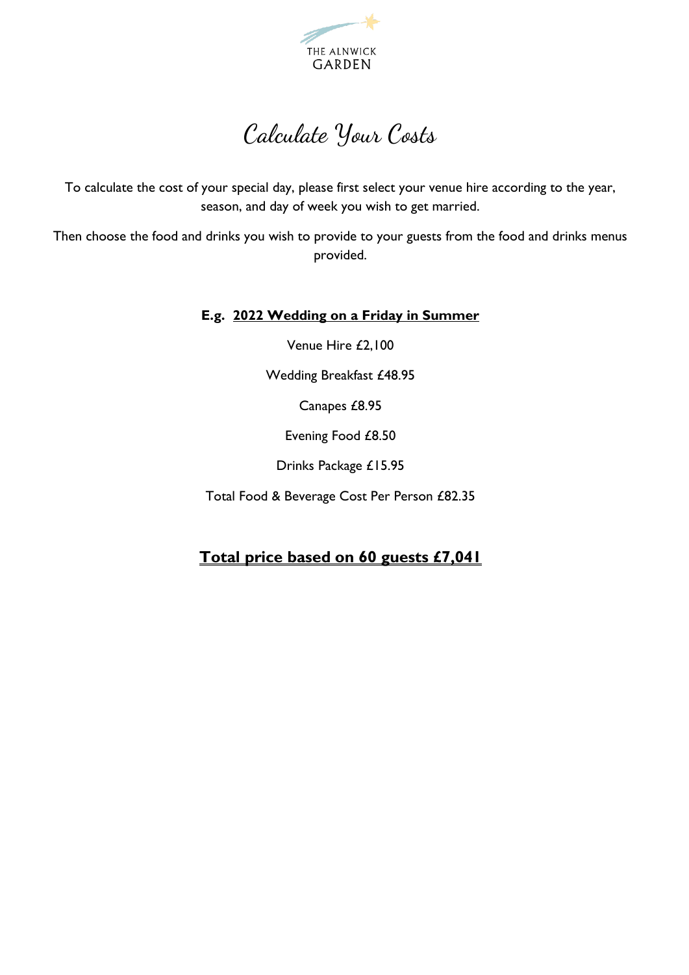

## Calculate Your Costs

To calculate the cost of your special day, please first select your venue hire according to the year, season, and day of week you wish to get married.

Then choose the food and drinks you wish to provide to your guests from the food and drinks menus provided.

#### **E.g. 2022 Wedding on a Friday in Summer**

Venue Hire £2,100

Wedding Breakfast £48.95

Canapes £8.95

Evening Food £8.50

Drinks Package £15.95

Total Food & Beverage Cost Per Person £82.35

### **Total price based on 60 guests £7,041**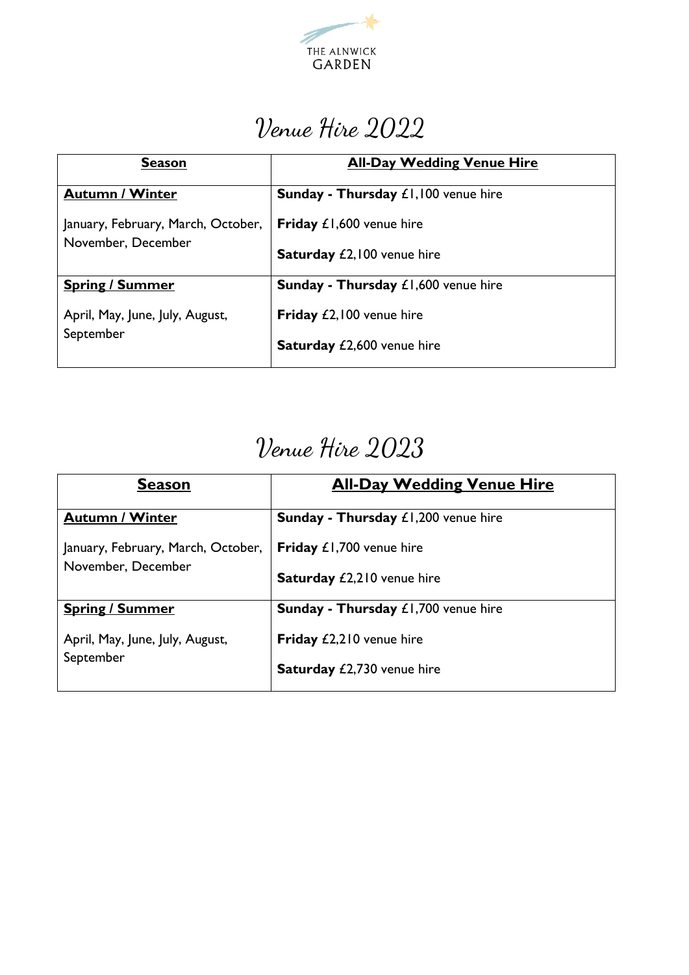

# Venue Hire 2022

| <b>Season</b>                                            | <b>All-Day Wedding Venue Hire</b>          |
|----------------------------------------------------------|--------------------------------------------|
| <b>Autumn / Winter</b>                                   | <b>Sunday - Thursday £1,100 venue hire</b> |
| January, February, March, October,<br>November, December | Friday £1,600 venue hire                   |
|                                                          | <b>Saturday £2,100 venue hire</b>          |
| <b>Spring / Summer</b>                                   | <b>Sunday - Thursday £1,600 venue hire</b> |
| April, May, June, July, August,<br>September             | Friday £2,100 venue hire                   |
|                                                          | <b>Saturday £2,600 venue hire</b>          |

# Venue Hire 2023

| <b>Season</b>                                | <b>All-Day Wedding Venue Hire</b>          |
|----------------------------------------------|--------------------------------------------|
| <b>Autumn / Winter</b>                       | <b>Sunday - Thursday £1,200 venue hire</b> |
| January, February, March, October,           | Friday £1,700 venue hire                   |
| November, December                           | <b>Saturday £2,210 venue hire</b>          |
| <b>Spring / Summer</b>                       | <b>Sunday - Thursday £1,700 venue hire</b> |
| April, May, June, July, August,<br>September | Friday £2,210 venue hire                   |
|                                              | <b>Saturday £2,730 venue hire</b>          |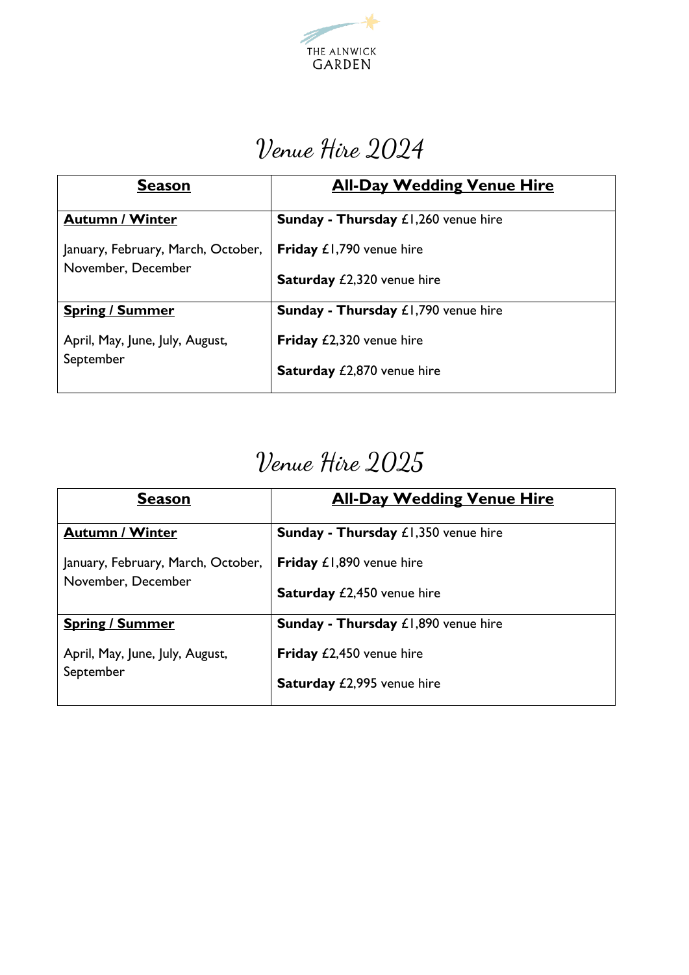

## Venue Hire 2024

| <b>Season</b>                      | <b>All-Day Wedding Venue Hire</b>          |
|------------------------------------|--------------------------------------------|
| <b>Autumn / Winter</b>             | <b>Sunday - Thursday £1,260 venue hire</b> |
| January, February, March, October, | Friday £1,790 venue hire                   |
| November, December                 | Saturday £2,320 venue hire                 |
| <b>Spring / Summer</b>             | <b>Sunday - Thursday £1,790 venue hire</b> |
| April, May, June, July, August,    | Friday £2,320 venue hire                   |
| September                          | Saturday £2,870 venue hire                 |

# Venue Hire 2025

| <b>Season</b>                      | <b>All-Day Wedding Venue Hire</b>          |
|------------------------------------|--------------------------------------------|
| <b>Autumn / Winter</b>             | <b>Sunday - Thursday £1,350 venue hire</b> |
| January, February, March, October, | Friday £1,890 venue hire                   |
| November, December                 | <b>Saturday £2,450 venue hire</b>          |
| <b>Spring / Summer</b>             | <b>Sunday - Thursday £1,890 venue hire</b> |
| April, May, June, July, August,    | <b>Friday</b> £2,450 venue hire            |
| September                          | <b>Saturday £2,995 venue hire</b>          |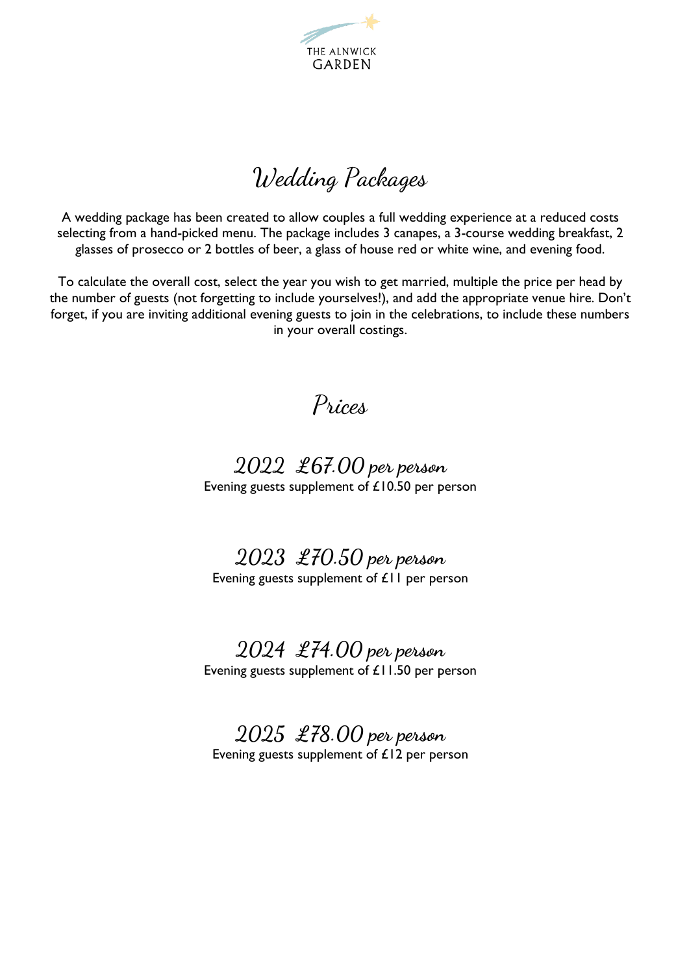

Wedding Packages

A wedding package has been created to allow couples a full wedding experience at a reduced costs selecting from a hand-picked menu. The package includes 3 canapes, a 3-course wedding breakfast, 2 glasses of prosecco or 2 bottles of beer, a glass of house red or white wine, and evening food.

To calculate the overall cost, select the year you wish to get married, multiple the price per head by the number of guests (not forgetting to include yourselves!), and add the appropriate venue hire. Don't forget, if you are inviting additional evening guests to join in the celebrations, to include these numbers in your overall costings.

Prices

### **2022 £67.00 per person** Evening guests supplement of £10.50 per person

**2023 £70.50 per person** Evening guests supplement of £11 per person

## **2024 £74.00 per person**

Evening guests supplement of £11.50 per person

**2025 £78.00 per person** Evening guests supplement of £12 per person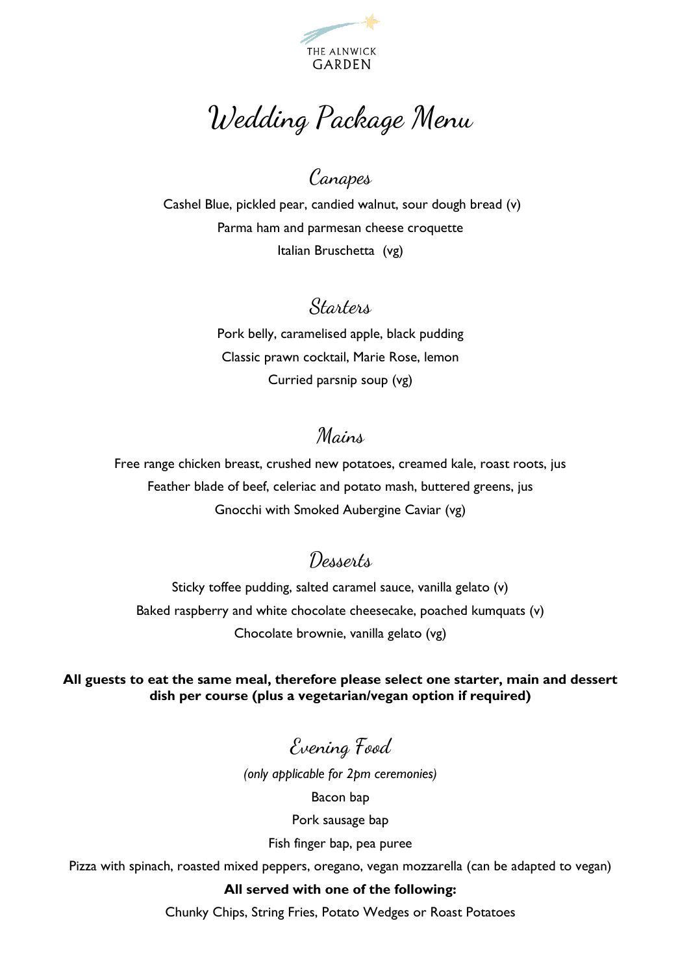

Wedding Package Menu

# Canapes

Cashel Blue, pickled pear, candied walnut, sour dough bread (v) Parma ham and parmesan cheese croquette Italian Bruschetta (vg)

## Starters

Pork belly, caramelised apple, black pudding Classic prawn cocktail, Marie Rose, lemon Curried parsnip soup (vg)

## Mains

Free range chicken breast, crushed new potatoes, creamed kale, roast roots, jus Feather blade of beef, celeriac and potato mash, buttered greens, jus Gnocchi with Smoked Aubergine Caviar (vg)

## Desserts

Sticky toffee pudding, salted caramel sauce, vanilla gelato (v) Baked raspberry and white chocolate cheesecake, poached kumquats (v) Chocolate brownie, vanilla gelato (vg)

**All guests to eat the same meal, therefore please select one starter, main and dessert dish per course (plus a vegetarian/vegan option if required)**

Evening Food

*(only applicable for 2pm ceremonies)*  Bacon bap Pork sausage bap

Fish finger bap, pea puree

Pizza with spinach, roasted mixed peppers, oregano, vegan mozzarella (can be adapted to vegan)

#### **All served with one of the following:**

Chunky Chips, String Fries, Potato Wedges or Roast Potatoes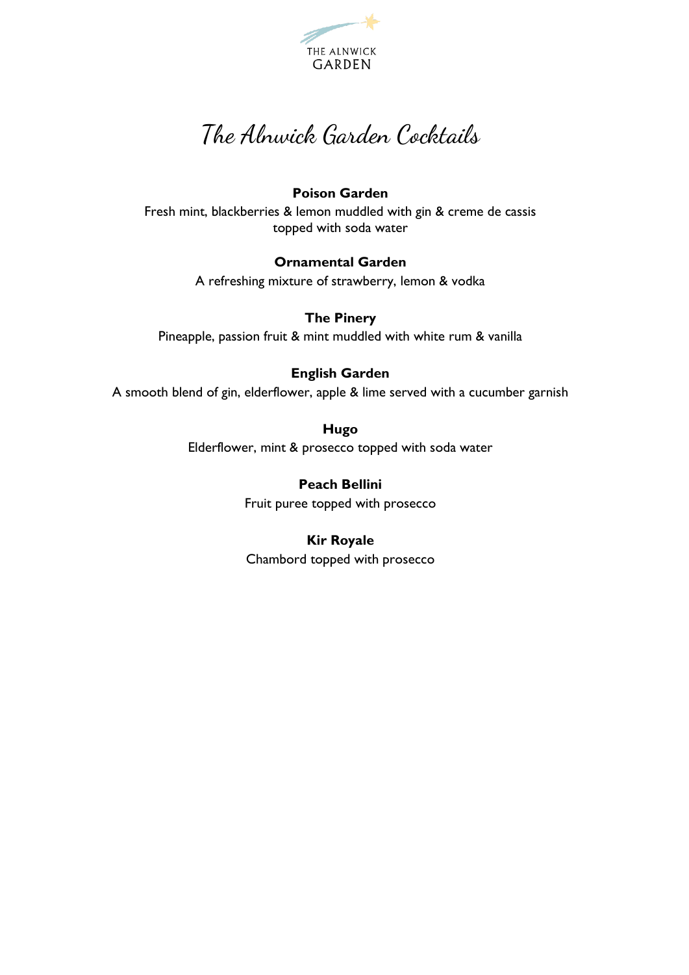

## The Alnwick Garden Cocktails

#### **Poison Garden**

Fresh mint, blackberries & lemon muddled with gin & creme de cassis topped with soda water

#### **Ornamental Garden**

A refreshing mixture of strawberry, lemon & vodka

**The Pinery** Pineapple, passion fruit & mint muddled with white rum & vanilla

#### **English Garden**

A smooth blend of gin, elderflower, apple & lime served with a cucumber garnish

**Hugo** Elderflower, mint & prosecco topped with soda water

> **Peach Bellini** Fruit puree topped with prosecco

#### **Kir Royale**

Chambord topped with prosecco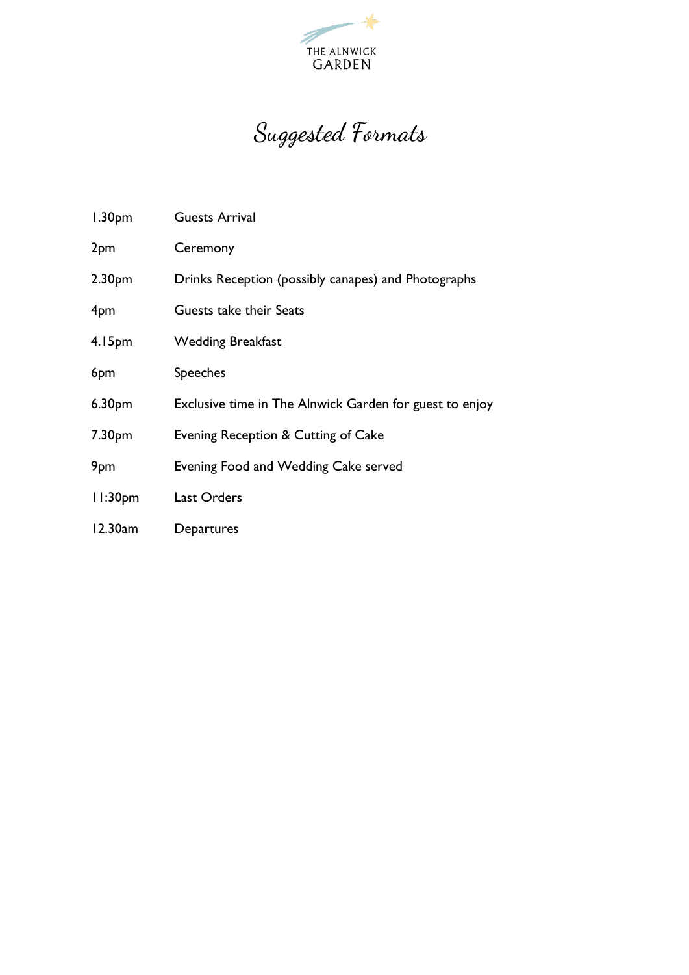

# Suggested Formats

| 1.30 <sub>pm</sub>  | <b>Guests Arrival</b>                                   |
|---------------------|---------------------------------------------------------|
| 2pm                 | Ceremony                                                |
| 2.30 <sub>pm</sub>  | Drinks Reception (possibly canapes) and Photographs     |
| 4pm                 | Guests take their Seats                                 |
| 4.15pm              | <b>Wedding Breakfast</b>                                |
| 6pm                 | <b>Speeches</b>                                         |
| 6.30 <sub>pm</sub>  | Exclusive time in The Alnwick Garden for guest to enjoy |
| 7.30 <sub>pm</sub>  | Evening Reception & Cutting of Cake                     |
| 9pm                 | Evening Food and Wedding Cake served                    |
| 11:30 <sub>pm</sub> | <b>Last Orders</b>                                      |
| 12.30am             | Departures                                              |
|                     |                                                         |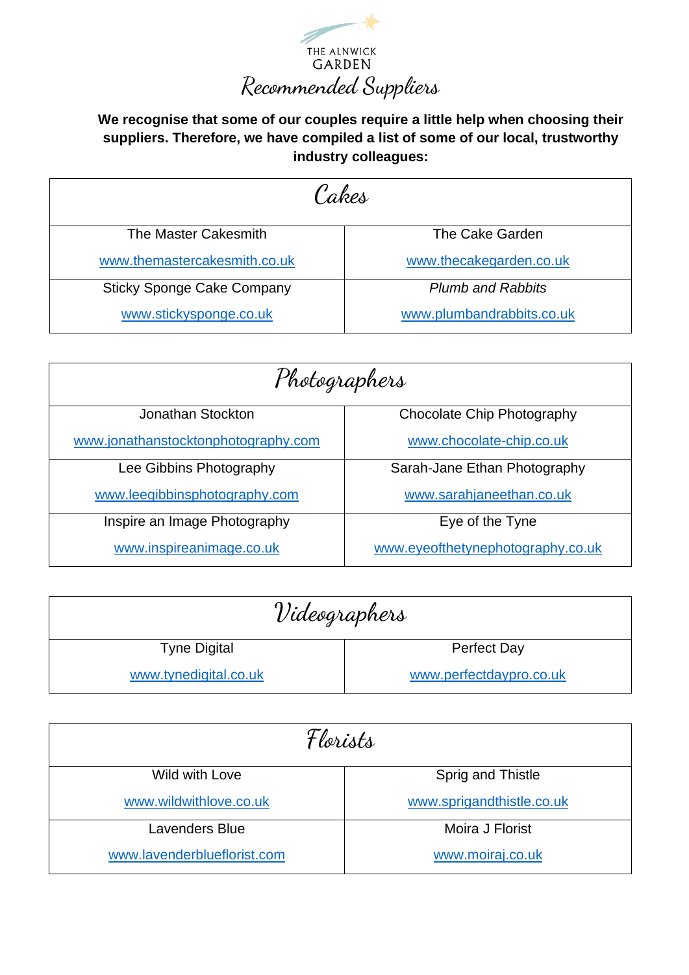

**We recognise that some of our couples require a little help when choosing their suppliers. Therefore, we have compiled a list of some of our local, trustworthy industry colleagues:**

| Cakes                             |                           |  |
|-----------------------------------|---------------------------|--|
| The Master Cakesmith              | The Cake Garden           |  |
| www.themastercakesmith.co.uk      | www.thecakegarden.co.uk   |  |
| <b>Sticky Sponge Cake Company</b> | <b>Plumb and Rabbits</b>  |  |
| www.stickysponge.co.uk            | www.plumbandrabbits.co.uk |  |

| Photographers                       |                                   |  |
|-------------------------------------|-----------------------------------|--|
| Jonathan Stockton                   | Chocolate Chip Photography        |  |
| www.jonathanstocktonphotography.com | www.chocolate-chip.co.uk          |  |
| Lee Gibbins Photography             | Sarah-Jane Ethan Photography      |  |
| www.leegibbinsphotography.com       | www.sarahjaneethan.co.uk          |  |
| Inspire an Image Photography        | Eye of the Tyne                   |  |
| www.inspireanimage.co.uk            | www.eyeofthetynephotography.co.uk |  |

| Videographers         |                         |
|-----------------------|-------------------------|
| <b>Tyne Digital</b>   | <b>Perfect Day</b>      |
| www.tynedigital.co.uk | www.perfectdaypro.co.uk |

| Florists                    |                           |
|-----------------------------|---------------------------|
| Wild with Love              | Sprig and Thistle         |
| www.wildwithlove.co.uk      | www.sprigandthistle.co.uk |
| <b>Lavenders Blue</b>       | Moira J Florist           |
| www.lavenderblueflorist.com | www.moiraj.co.uk          |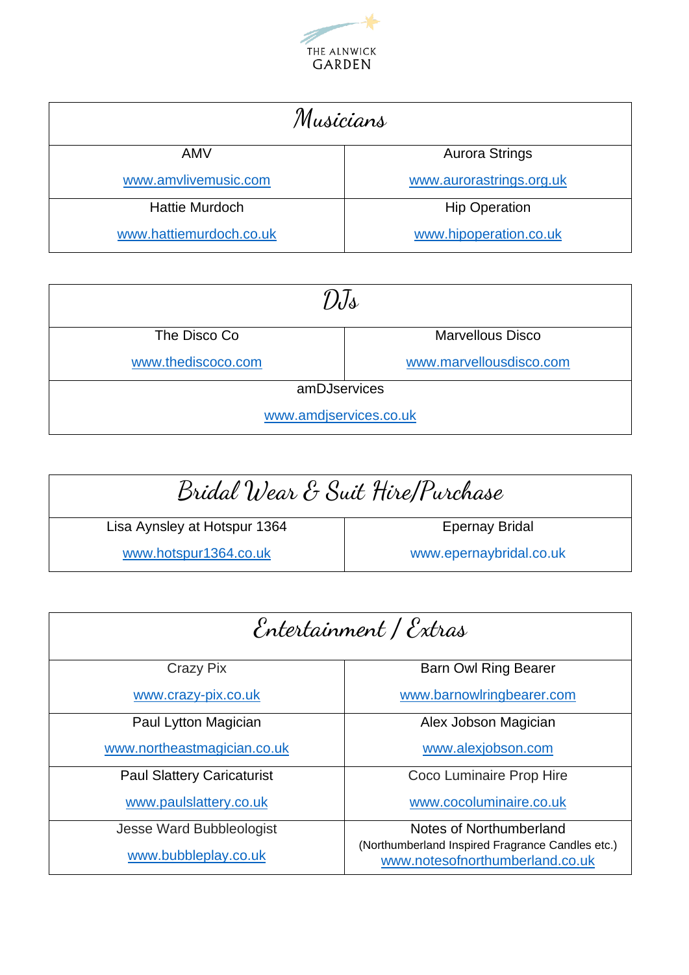

| Musicians               |                          |
|-------------------------|--------------------------|
| <b>AMV</b>              | <b>Aurora Strings</b>    |
| www.amvlivemusic.com    | www.aurorastrings.org.uk |
| <b>Hattie Murdoch</b>   | <b>Hip Operation</b>     |
| www.hattiemurdoch.co.uk | www.hipoperation.co.uk   |

| DIs                    |                         |  |
|------------------------|-------------------------|--|
| The Disco Co           | <b>Marvellous Disco</b> |  |
| www.thediscoco.com     | www.marvellousdisco.com |  |
| amDJservices           |                         |  |
| www.amdjservices.co.uk |                         |  |

| Bridal Wear & Suit Hire/Purchase |                         |
|----------------------------------|-------------------------|
| Lisa Aynsley at Hotspur 1364     | <b>Epernay Bridal</b>   |
| www.hotspur1364.co.uk            | www.epernaybridal.co.uk |

| Entertainment / Extras            |                                                                                     |
|-----------------------------------|-------------------------------------------------------------------------------------|
| Crazy Pix                         | <b>Barn Owl Ring Bearer</b>                                                         |
| www.crazy-pix.co.uk               | www.barnowlringbearer.com                                                           |
| Paul Lytton Magician              | Alex Jobson Magician                                                                |
| www.northeastmagician.co.uk       | www.alexjobson.com                                                                  |
| <b>Paul Slattery Caricaturist</b> | Coco Luminaire Prop Hire                                                            |
| www.paulslattery.co.uk            | www.cocoluminaire.co.uk                                                             |
| Jesse Ward Bubbleologist          | Notes of Northumberland                                                             |
| www.bubbleplay.co.uk              | (Northumberland Inspired Fragrance Candles etc.)<br>www.notesofnorthumberland.co.uk |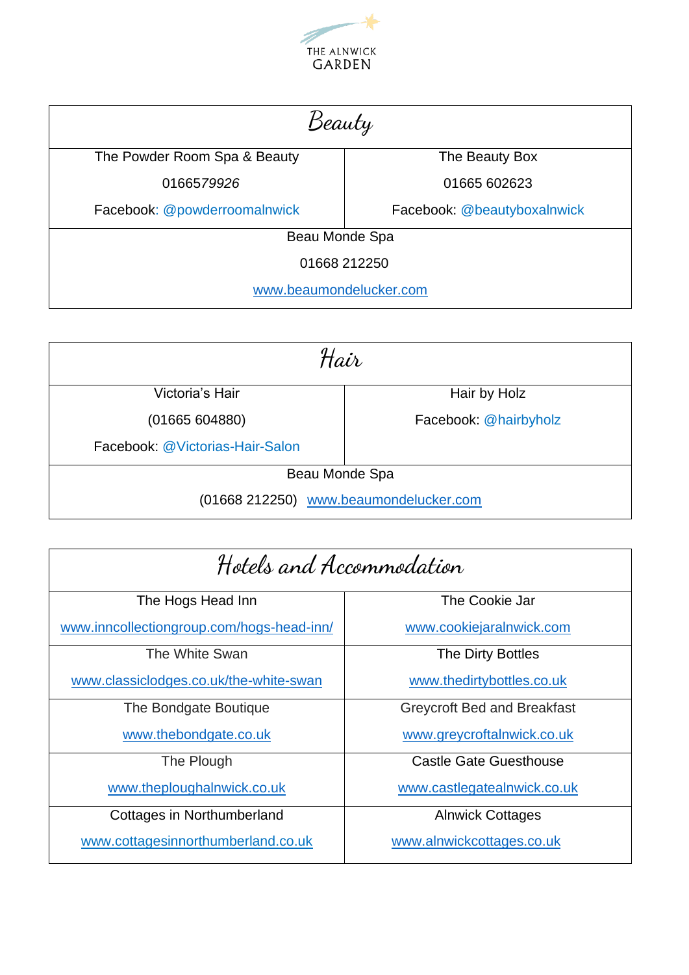

| Beauty                       |                             |  |
|------------------------------|-----------------------------|--|
| The Powder Room Spa & Beauty | The Beauty Box              |  |
| 0166579926                   | 01665 602623                |  |
| Facebook: @powderroomalnwick | Facebook: @beautyboxalnwick |  |
| Beau Monde Spa               |                             |  |
| 01668 212250                 |                             |  |
| www.beaumondelucker.com      |                             |  |

| Hair                                   |                       |
|----------------------------------------|-----------------------|
| Victoria's Hair                        | Hair by Holz          |
| (01665604880)                          | Facebook: @hairbyholz |
| Facebook: @Victorias-Hair-Salon        |                       |
| Beau Monde Spa                         |                       |
| (01668 212250) www.beaumondelucker.com |                       |

| Hotels and Accommodation                  |                                    |
|-------------------------------------------|------------------------------------|
| The Hogs Head Inn                         | The Cookie Jar                     |
| www.inncollectiongroup.com/hogs-head-inn/ | www.cookiejaralnwick.com           |
| The White Swan                            | The Dirty Bottles                  |
| www.classiclodges.co.uk/the-white-swan    | www.thedirtybottles.co.uk          |
| The Bondgate Boutique                     | <b>Greycroft Bed and Breakfast</b> |
| www.thebondgate.co.uk                     | www.greycroftalnwick.co.uk         |
| The Plough                                | <b>Castle Gate Guesthouse</b>      |
| www.theploughalnwick.co.uk                | www.castlegatealnwick.co.uk        |
| Cottages in Northumberland                | <b>Alnwick Cottages</b>            |
| www.cottagesinnorthumberland.co.uk        | www.alnwickcottages.co.uk          |